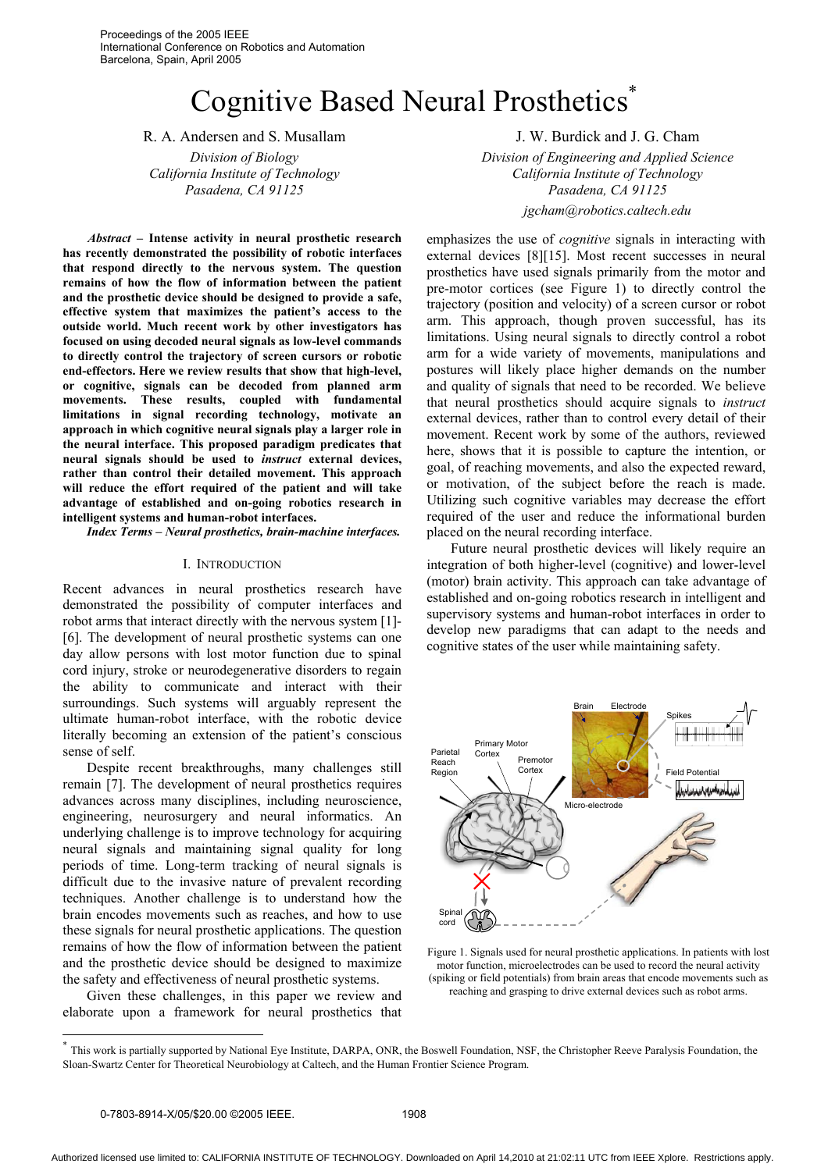# Cognitive Based Neural Prosthetics\*

R. A. Andersen and S. Musallam J. W. Burdick and J. G. Cham

*Abstract* **– Intense activity in neural prosthetic research has recently demonstrated the possibility of robotic interfaces that respond directly to the nervous system. The question remains of how the flow of information between the patient and the prosthetic device should be designed to provide a safe, effective system that maximizes the patient's access to the outside world. Much recent work by other investigators has focused on using decoded neural signals as low-level commands to directly control the trajectory of screen cursors or robotic end-effectors. Here we review results that show that high-level, or cognitive, signals can be decoded from planned arm movements. These results, coupled with fundamental limitations in signal recording technology, motivate an approach in which cognitive neural signals play a larger role in the neural interface. This proposed paradigm predicates that neural signals should be used to** *instruct* **external devices, rather than control their detailed movement. This approach will reduce the effort required of the patient and will take advantage of established and on-going robotics research in intelligent systems and human-robot interfaces.** 

*Index Terms – Neural prosthetics, brain-machine interfaces.* 

#### I. INTRODUCTION

Recent advances in neural prosthetics research have demonstrated the possibility of computer interfaces and robot arms that interact directly with the nervous system [1]- [6]. The development of neural prosthetic systems can one day allow persons with lost motor function due to spinal cord injury, stroke or neurodegenerative disorders to regain the ability to communicate and interact with their surroundings. Such systems will arguably represent the ultimate human-robot interface, with the robotic device literally becoming an extension of the patient's conscious sense of self.

Despite recent breakthroughs, many challenges still remain [7]. The development of neural prosthetics requires advances across many disciplines, including neuroscience, engineering, neurosurgery and neural informatics. An underlying challenge is to improve technology for acquiring neural signals and maintaining signal quality for long periods of time. Long-term tracking of neural signals is difficult due to the invasive nature of prevalent recording techniques. Another challenge is to understand how the brain encodes movements such as reaches, and how to use these signals for neural prosthetic applications. The question remains of how the flow of information between the patient and the prosthetic device should be designed to maximize the safety and effectiveness of neural prosthetic systems.

Given these challenges, in this paper we review and elaborate upon a framework for neural prosthetics that

*Division of Biology Division of Engineering and Applied Science California Institute of Technology California Institute of Technology Pasadena, CA 91125 Pasadena, CA 91125 jgcham@robotics.caltech.edu* 

> emphasizes the use of *cognitive* signals in interacting with external devices [8][15]. Most recent successes in neural prosthetics have used signals primarily from the motor and pre-motor cortices (see Figure 1) to directly control the trajectory (position and velocity) of a screen cursor or robot arm. This approach, though proven successful, has its limitations. Using neural signals to directly control a robot arm for a wide variety of movements, manipulations and postures will likely place higher demands on the number and quality of signals that need to be recorded. We believe that neural prosthetics should acquire signals to *instruct* external devices, rather than to control every detail of their movement. Recent work by some of the authors, reviewed here, shows that it is possible to capture the intention, or goal, of reaching movements, and also the expected reward, or motivation, of the subject before the reach is made. Utilizing such cognitive variables may decrease the effort required of the user and reduce the informational burden placed on the neural recording interface.

> Future neural prosthetic devices will likely require an integration of both higher-level (cognitive) and lower-level (motor) brain activity. This approach can take advantage of established and on-going robotics research in intelligent and supervisory systems and human-robot interfaces in order to develop new paradigms that can adapt to the needs and cognitive states of the user while maintaining safety.



Figure 1. Signals used for neural prosthetic applications. In patients with lost motor function, microelectrodes can be used to record the neural activity (spiking or field potentials) from brain areas that encode movements such as reaching and grasping to drive external devices such as robot arms.

0-7803-8914-X/05/\$20.00 ©2005 IEEE. 1908

l

<sup>\*</sup> This work is partially supported by National Eye Institute, DARPA, ONR, the Boswell Foundation, NSF, the Christopher Reeve Paralysis Foundation, the Sloan-Swartz Center for Theoretical Neurobiology at Caltech, and the Human Frontier Science Program.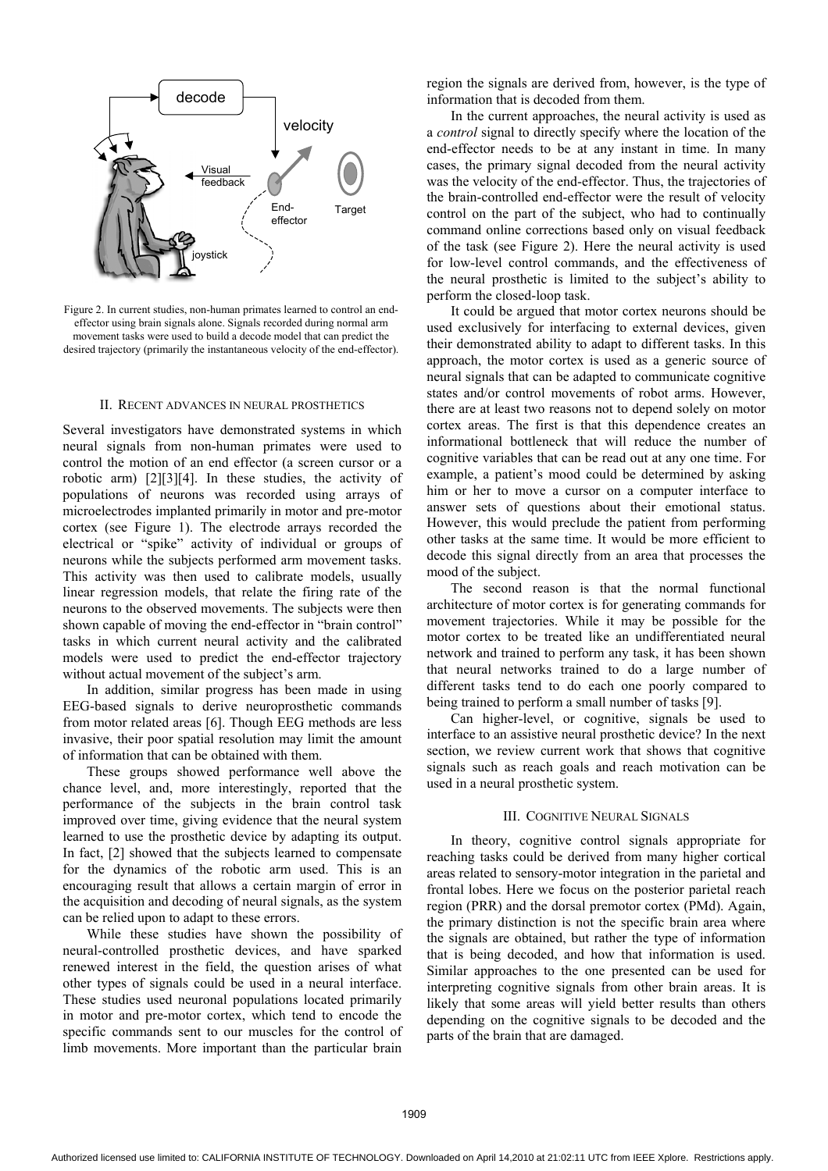

Figure 2. In current studies, non-human primates learned to control an endeffector using brain signals alone. Signals recorded during normal arm movement tasks were used to build a decode model that can predict the desired trajectory (primarily the instantaneous velocity of the end-effector).

## II. RECENT ADVANCES IN NEURAL PROSTHETICS

Several investigators have demonstrated systems in which neural signals from non-human primates were used to control the motion of an end effector (a screen cursor or a robotic arm) [2][3][4]. In these studies, the activity of populations of neurons was recorded using arrays of microelectrodes implanted primarily in motor and pre-motor cortex (see Figure 1). The electrode arrays recorded the electrical or "spike" activity of individual or groups of neurons while the subjects performed arm movement tasks. This activity was then used to calibrate models, usually linear regression models, that relate the firing rate of the neurons to the observed movements. The subjects were then shown capable of moving the end-effector in "brain control" tasks in which current neural activity and the calibrated models were used to predict the end-effector trajectory without actual movement of the subject's arm.

In addition, similar progress has been made in using EEG-based signals to derive neuroprosthetic commands from motor related areas [6]. Though EEG methods are less invasive, their poor spatial resolution may limit the amount of information that can be obtained with them.

These groups showed performance well above the chance level, and, more interestingly, reported that the performance of the subjects in the brain control task improved over time, giving evidence that the neural system learned to use the prosthetic device by adapting its output. In fact, [2] showed that the subjects learned to compensate for the dynamics of the robotic arm used. This is an encouraging result that allows a certain margin of error in the acquisition and decoding of neural signals, as the system can be relied upon to adapt to these errors.

 While these studies have shown the possibility of neural-controlled prosthetic devices, and have sparked renewed interest in the field, the question arises of what other types of signals could be used in a neural interface. These studies used neuronal populations located primarily in motor and pre-motor cortex, which tend to encode the specific commands sent to our muscles for the control of limb movements. More important than the particular brain

region the signals are derived from, however, is the type of information that is decoded from them.

In the current approaches, the neural activity is used as a *control* signal to directly specify where the location of the end-effector needs to be at any instant in time. In many cases, the primary signal decoded from the neural activity was the velocity of the end-effector. Thus, the trajectories of the brain-controlled end-effector were the result of velocity control on the part of the subject, who had to continually command online corrections based only on visual feedback of the task (see Figure 2). Here the neural activity is used for low-level control commands, and the effectiveness of the neural prosthetic is limited to the subject's ability to perform the closed-loop task.

It could be argued that motor cortex neurons should be used exclusively for interfacing to external devices, given their demonstrated ability to adapt to different tasks. In this approach, the motor cortex is used as a generic source of neural signals that can be adapted to communicate cognitive states and/or control movements of robot arms. However, there are at least two reasons not to depend solely on motor cortex areas. The first is that this dependence creates an informational bottleneck that will reduce the number of cognitive variables that can be read out at any one time. For example, a patient's mood could be determined by asking him or her to move a cursor on a computer interface to answer sets of questions about their emotional status. However, this would preclude the patient from performing other tasks at the same time. It would be more efficient to decode this signal directly from an area that processes the mood of the subject.

The second reason is that the normal functional architecture of motor cortex is for generating commands for movement trajectories. While it may be possible for the motor cortex to be treated like an undifferentiated neural network and trained to perform any task, it has been shown that neural networks trained to do a large number of different tasks tend to do each one poorly compared to being trained to perform a small number of tasks [9].

Can higher-level, or cognitive, signals be used to interface to an assistive neural prosthetic device? In the next section, we review current work that shows that cognitive signals such as reach goals and reach motivation can be used in a neural prosthetic system.

# III. COGNITIVE NEURAL SIGNALS

In theory, cognitive control signals appropriate for reaching tasks could be derived from many higher cortical areas related to sensory-motor integration in the parietal and frontal lobes. Here we focus on the posterior parietal reach region (PRR) and the dorsal premotor cortex (PMd). Again, the primary distinction is not the specific brain area where the signals are obtained, but rather the type of information that is being decoded, and how that information is used. Similar approaches to the one presented can be used for interpreting cognitive signals from other brain areas. It is likely that some areas will yield better results than others depending on the cognitive signals to be decoded and the parts of the brain that are damaged.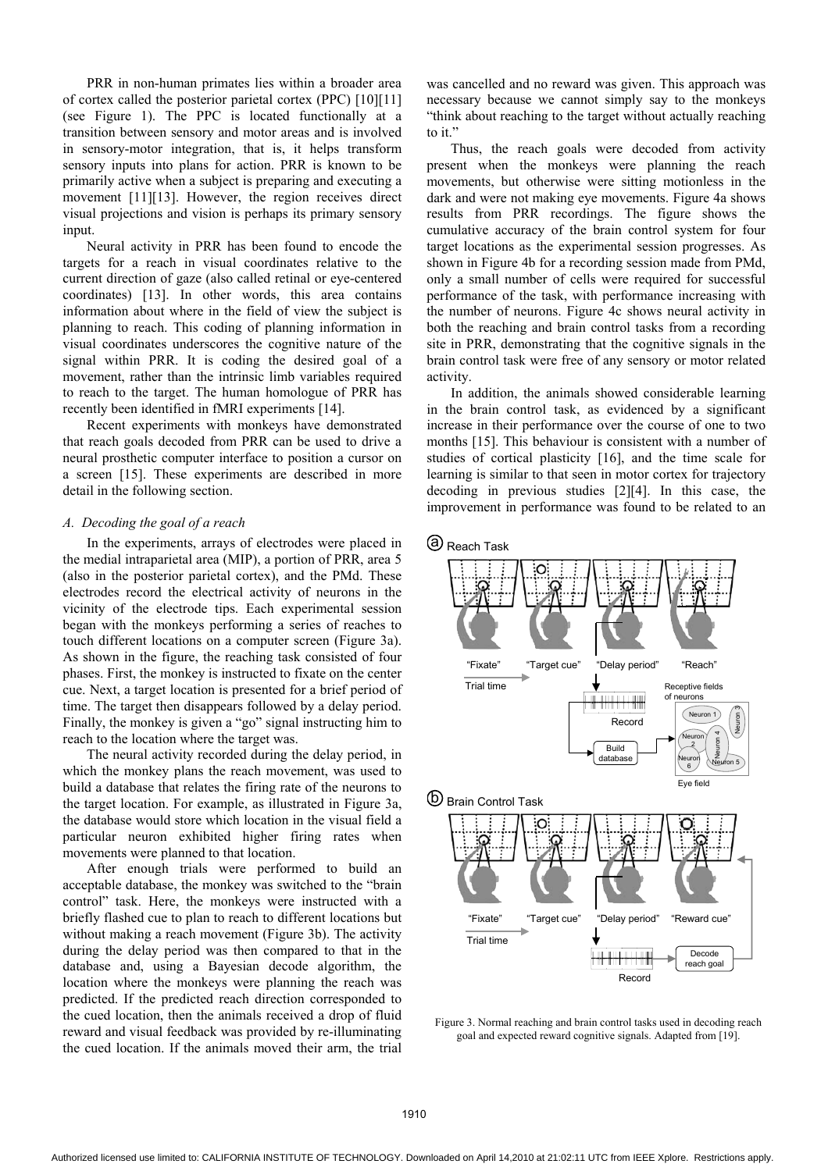PRR in non-human primates lies within a broader area of cortex called the posterior parietal cortex (PPC) [10][11] (see Figure 1). The PPC is located functionally at a transition between sensory and motor areas and is involved in sensory-motor integration, that is, it helps transform sensory inputs into plans for action. PRR is known to be primarily active when a subject is preparing and executing a movement [11][13]. However, the region receives direct visual projections and vision is perhaps its primary sensory input.

Neural activity in PRR has been found to encode the targets for a reach in visual coordinates relative to the current direction of gaze (also called retinal or eye-centered coordinates) [13]. In other words, this area contains information about where in the field of view the subject is planning to reach. This coding of planning information in visual coordinates underscores the cognitive nature of the signal within PRR. It is coding the desired goal of a movement, rather than the intrinsic limb variables required to reach to the target. The human homologue of PRR has recently been identified in fMRI experiments [14].

Recent experiments with monkeys have demonstrated that reach goals decoded from PRR can be used to drive a neural prosthetic computer interface to position a cursor on a screen [15]. These experiments are described in more detail in the following section.

## *A. Decoding the goal of a reach*

In the experiments, arrays of electrodes were placed in the medial intraparietal area (MIP), a portion of PRR, area 5 (also in the posterior parietal cortex), and the PMd. These electrodes record the electrical activity of neurons in the vicinity of the electrode tips. Each experimental session began with the monkeys performing a series of reaches to touch different locations on a computer screen (Figure 3a). As shown in the figure, the reaching task consisted of four phases. First, the monkey is instructed to fixate on the center cue. Next, a target location is presented for a brief period of time. The target then disappears followed by a delay period. Finally, the monkey is given a "go" signal instructing him to reach to the location where the target was.

The neural activity recorded during the delay period, in which the monkey plans the reach movement, was used to build a database that relates the firing rate of the neurons to the target location. For example, as illustrated in Figure 3a, the database would store which location in the visual field a particular neuron exhibited higher firing rates when movements were planned to that location.

After enough trials were performed to build an acceptable database, the monkey was switched to the "brain control" task. Here, the monkeys were instructed with a briefly flashed cue to plan to reach to different locations but without making a reach movement (Figure 3b). The activity during the delay period was then compared to that in the database and, using a Bayesian decode algorithm, the location where the monkeys were planning the reach was predicted. If the predicted reach direction corresponded to the cued location, then the animals received a drop of fluid reward and visual feedback was provided by re-illuminating the cued location. If the animals moved their arm, the trial

was cancelled and no reward was given. This approach was necessary because we cannot simply say to the monkeys "think about reaching to the target without actually reaching to it."

Thus, the reach goals were decoded from activity present when the monkeys were planning the reach movements, but otherwise were sitting motionless in the dark and were not making eye movements. Figure 4a shows results from PRR recordings. The figure shows the cumulative accuracy of the brain control system for four target locations as the experimental session progresses. As shown in Figure 4b for a recording session made from PMd, only a small number of cells were required for successful performance of the task, with performance increasing with the number of neurons. Figure 4c shows neural activity in both the reaching and brain control tasks from a recording site in PRR, demonstrating that the cognitive signals in the brain control task were free of any sensory or motor related activity.

In addition, the animals showed considerable learning in the brain control task, as evidenced by a significant increase in their performance over the course of one to two months [15]. This behaviour is consistent with a number of studies of cortical plasticity [16], and the time scale for learning is similar to that seen in motor cortex for trajectory decoding in previous studies [2][4]. In this case, the improvement in performance was found to be related to an



Figure 3. Normal reaching and brain control tasks used in decoding reach goal and expected reward cognitive signals. Adapted from [19].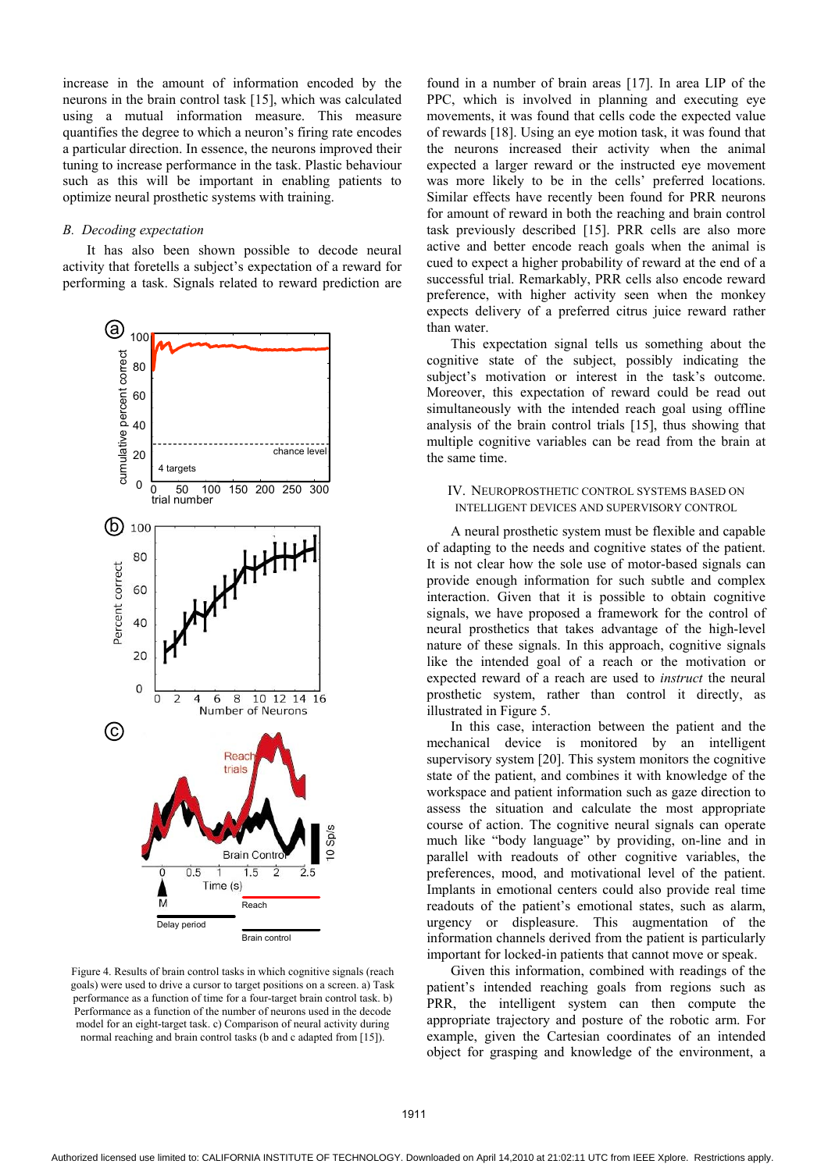increase in the amount of information encoded by the neurons in the brain control task [15], which was calculated using a mutual information measure. This measure quantifies the degree to which a neuron's firing rate encodes a particular direction. In essence, the neurons improved their tuning to increase performance in the task. Plastic behaviour such as this will be important in enabling patients to optimize neural prosthetic systems with training.

# *B. Decoding expectation*

It has also been shown possible to decode neural activity that foretells a subject's expectation of a reward for performing a task. Signals related to reward prediction are



Figure 4. Results of brain control tasks in which cognitive signals (reach goals) were used to drive a cursor to target positions on a screen. a) Task performance as a function of time for a four-target brain control task. b) Performance as a function of the number of neurons used in the decode model for an eight-target task. c) Comparison of neural activity during normal reaching and brain control tasks (b and c adapted from [15]).

found in a number of brain areas [17]. In area LIP of the PPC, which is involved in planning and executing eye movements, it was found that cells code the expected value of rewards [18]. Using an eye motion task, it was found that the neurons increased their activity when the animal expected a larger reward or the instructed eye movement was more likely to be in the cells' preferred locations. Similar effects have recently been found for PRR neurons for amount of reward in both the reaching and brain control task previously described [15]. PRR cells are also more active and better encode reach goals when the animal is cued to expect a higher probability of reward at the end of a successful trial. Remarkably, PRR cells also encode reward preference, with higher activity seen when the monkey expects delivery of a preferred citrus juice reward rather than water.

This expectation signal tells us something about the cognitive state of the subject, possibly indicating the subject's motivation or interest in the task's outcome. Moreover, this expectation of reward could be read out simultaneously with the intended reach goal using offline analysis of the brain control trials [15], thus showing that multiple cognitive variables can be read from the brain at the same time.

## IV. NEUROPROSTHETIC CONTROL SYSTEMS BASED ON INTELLIGENT DEVICES AND SUPERVISORY CONTROL

A neural prosthetic system must be flexible and capable of adapting to the needs and cognitive states of the patient. It is not clear how the sole use of motor-based signals can provide enough information for such subtle and complex interaction. Given that it is possible to obtain cognitive signals, we have proposed a framework for the control of neural prosthetics that takes advantage of the high-level nature of these signals. In this approach, cognitive signals like the intended goal of a reach or the motivation or expected reward of a reach are used to *instruct* the neural prosthetic system, rather than control it directly, as illustrated in Figure 5.

In this case, interaction between the patient and the mechanical device is monitored by an intelligent supervisory system [20]. This system monitors the cognitive state of the patient, and combines it with knowledge of the workspace and patient information such as gaze direction to assess the situation and calculate the most appropriate course of action. The cognitive neural signals can operate much like "body language" by providing, on-line and in parallel with readouts of other cognitive variables, the preferences, mood, and motivational level of the patient. Implants in emotional centers could also provide real time readouts of the patient's emotional states, such as alarm, urgency or displeasure. This augmentation of the information channels derived from the patient is particularly important for locked-in patients that cannot move or speak.

Given this information, combined with readings of the patient's intended reaching goals from regions such as PRR, the intelligent system can then compute the appropriate trajectory and posture of the robotic arm. For example, given the Cartesian coordinates of an intended object for grasping and knowledge of the environment, a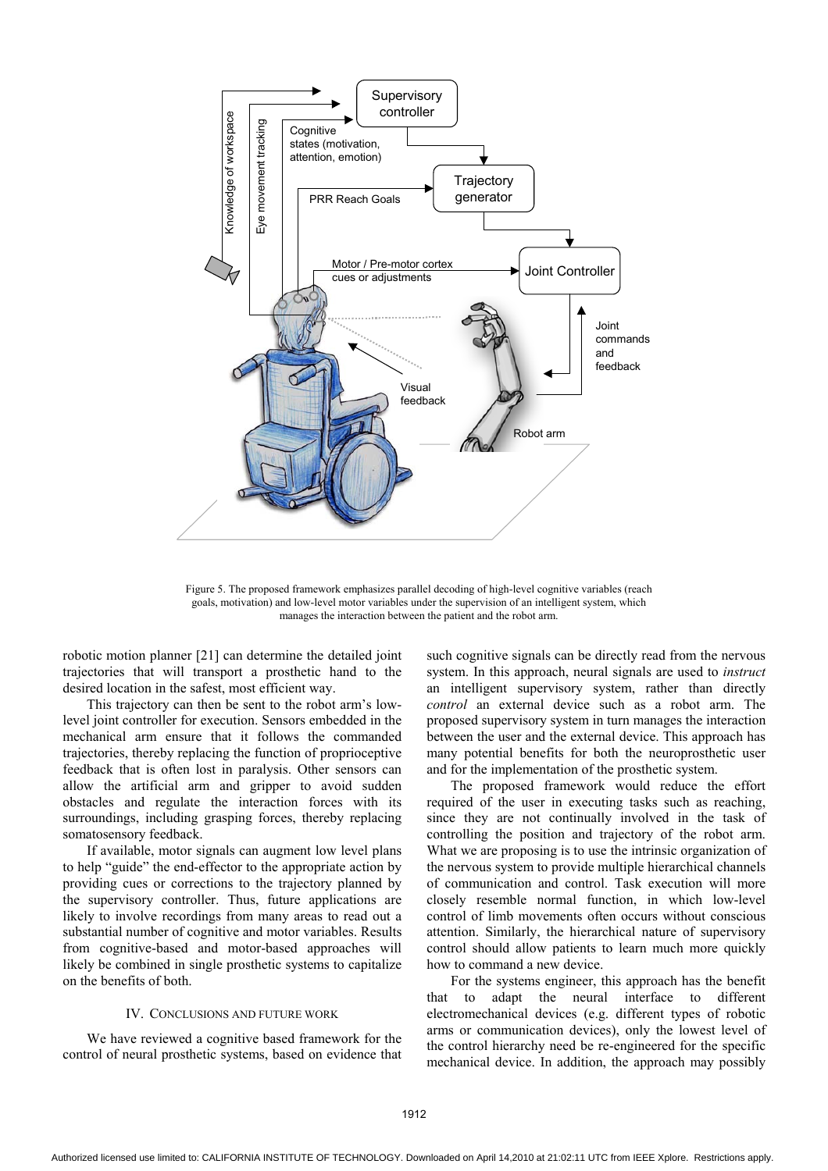

Figure 5. The proposed framework emphasizes parallel decoding of high-level cognitive variables (reach goals, motivation) and low-level motor variables under the supervision of an intelligent system, which manages the interaction between the patient and the robot arm.

robotic motion planner [21] can determine the detailed joint trajectories that will transport a prosthetic hand to the desired location in the safest, most efficient way.

This trajectory can then be sent to the robot arm's lowlevel joint controller for execution. Sensors embedded in the mechanical arm ensure that it follows the commanded trajectories, thereby replacing the function of proprioceptive feedback that is often lost in paralysis. Other sensors can allow the artificial arm and gripper to avoid sudden obstacles and regulate the interaction forces with its surroundings, including grasping forces, thereby replacing somatosensory feedback.

If available, motor signals can augment low level plans to help "guide" the end-effector to the appropriate action by providing cues or corrections to the trajectory planned by the supervisory controller. Thus, future applications are likely to involve recordings from many areas to read out a substantial number of cognitive and motor variables. Results from cognitive-based and motor-based approaches will likely be combined in single prosthetic systems to capitalize on the benefits of both.

#### IV. CONCLUSIONS AND FUTURE WORK

 We have reviewed a cognitive based framework for the control of neural prosthetic systems, based on evidence that such cognitive signals can be directly read from the nervous system. In this approach, neural signals are used to *instruct* an intelligent supervisory system, rather than directly *control* an external device such as a robot arm. The proposed supervisory system in turn manages the interaction between the user and the external device. This approach has many potential benefits for both the neuroprosthetic user and for the implementation of the prosthetic system.

The proposed framework would reduce the effort required of the user in executing tasks such as reaching, since they are not continually involved in the task of controlling the position and trajectory of the robot arm. What we are proposing is to use the intrinsic organization of the nervous system to provide multiple hierarchical channels of communication and control. Task execution will more closely resemble normal function, in which low-level control of limb movements often occurs without conscious attention. Similarly, the hierarchical nature of supervisory control should allow patients to learn much more quickly how to command a new device.

For the systems engineer, this approach has the benefit that to adapt the neural interface to different electromechanical devices (e.g. different types of robotic arms or communication devices), only the lowest level of the control hierarchy need be re-engineered for the specific mechanical device. In addition, the approach may possibly